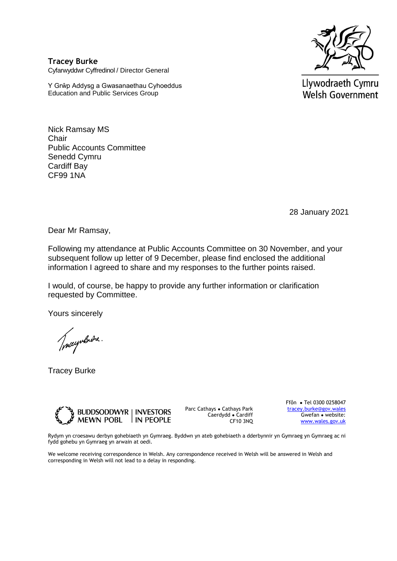

**Tracey Burke** Cyfarwyddwr Cyffredinol / Director General

Y Grŵp Addysg a Gwasanaethau Cyhoeddus Education and Public Services Group

Llywodraeth Cymru Welsh Government

Nick Ramsay MS **Chair** Public Accounts Committee Senedd Cymru Cardiff Bay CF99 1NA

28 January 2021

Dear Mr Ramsay,

Following my attendance at Public Accounts Committee on 30 November, and your subsequent follow up letter of 9 December, please find enclosed the additional information I agreed to share and my responses to the further points raised.

I would, of course, be happy to provide any further information or clarification requested by Committee.

Yours sincerely

Tracyntrone.

Tracey Burke



Parc Cathays ● Cathays Park Caerdydd ● Cardiff CF10 3NQ Ffôn ● Tel 0300 0258047 [tracey.burke@gov.wales](mailto:tracey.burke@gov.wales) Gwefan ● website: [www.wales.gov.uk](http://www.wales.gov.uk/)

Rydym yn croesawu derbyn gohebiaeth yn Gymraeg. Byddwn yn ateb gohebiaeth a dderbynnir yn Gymraeg yn Gymraeg ac ni fydd gohebu yn Gymraeg yn arwain at oedi.

We welcome receiving correspondence in Welsh. Any correspondence received in Welsh will be answered in Welsh and corresponding in Welsh will not lead to a delay in responding.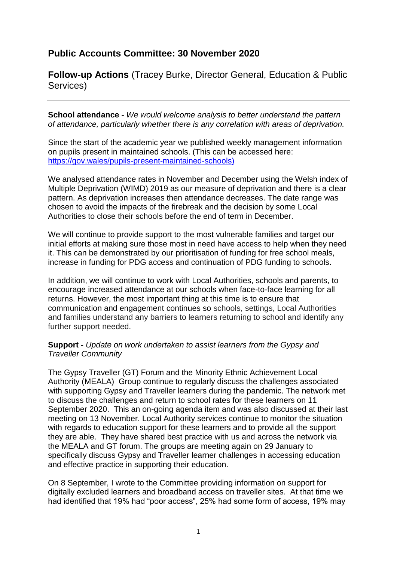## **Public Accounts Committee: 30 November 2020**

**Follow-up Actions** (Tracey Burke, Director General, Education & Public Services)

**School attendance -** *We would welcome analysis to better understand the pattern of attendance, particularly whether there is any correlation with areas of deprivation.* 

Since the start of the academic year we published weekly management information on pupils present in maintained schools. (This can be accessed here: [https://gov.wales/pupils-present-maintained-schools\)](https://eur01.safelinks.protection.outlook.com/?url=https%3A%2F%2Fgov.wales%2Fpupils-present-maintained-schools&data=04%7C01%7CKara.Richards%40gov.wales%7C267f45b0167642de4e2108d8b7f0a41a%7Ca2cc36c592804ae78887d06dab89216b%7C0%7C0%7C637461591598900589%7CUnknown%7CTWFpbGZsb3d8eyJWIjoiMC4wLjAwMDAiLCJQIjoiV2luMzIiLCJBTiI6Ik1haWwiLCJXVCI6Mn0%3D%7C1000&sdata=1%2FaauYnDy2kmK97NYT%2BWlw8FFMgRrXRKCRmjbzxdXAA%3D&reserved=0)

We analysed attendance rates in November and December using the Welsh index of Multiple Deprivation (WIMD) 2019 as our measure of deprivation and there is a clear pattern. As deprivation increases then attendance decreases. The date range was chosen to avoid the impacts of the firebreak and the decision by some Local Authorities to close their schools before the end of term in December.

We will continue to provide support to the most vulnerable families and target our initial efforts at making sure those most in need have access to help when they need it. This can be demonstrated by our prioritisation of funding for free school meals, increase in funding for PDG access and continuation of PDG funding to schools.

In addition, we will continue to work with Local Authorities, schools and parents, to encourage increased attendance at our schools when face-to-face learning for all returns. However, the most important thing at this time is to ensure that communication and engagement continues so schools, settings, Local Authorities and families understand any barriers to learners returning to school and identify any further support needed.

## **Support -** *Update on work undertaken to assist learners from the Gypsy and Traveller Community*

The Gypsy Traveller (GT) Forum and the Minority Ethnic Achievement Local Authority (MEALA) Group continue to regularly discuss the challenges associated with supporting Gypsy and Traveller learners during the pandemic. The network met to discuss the challenges and return to school rates for these learners on 11 September 2020. This an on-going agenda item and was also discussed at their last meeting on 13 November. Local Authority services continue to monitor the situation with regards to education support for these learners and to provide all the support they are able. They have shared best practice with us and across the network via the MEALA and GT forum. The groups are meeting again on 29 January to specifically discuss Gypsy and Traveller learner challenges in accessing education and effective practice in supporting their education.

On 8 September, I wrote to the Committee providing information on support for digitally excluded learners and broadband access on traveller sites. At that time we had identified that 19% had "poor access", 25% had some form of access, 19% may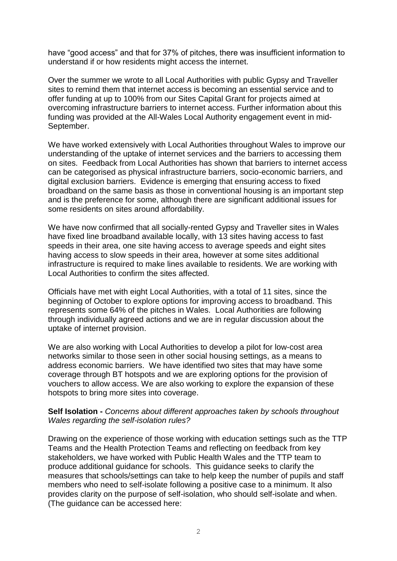have "good access" and that for 37% of pitches, there was insufficient information to understand if or how residents might access the internet.

Over the summer we wrote to all Local Authorities with public Gypsy and Traveller sites to remind them that internet access is becoming an essential service and to offer funding at up to 100% from our Sites Capital Grant for projects aimed at overcoming infrastructure barriers to internet access. Further information about this funding was provided at the All-Wales Local Authority engagement event in mid-September.

We have worked extensively with Local Authorities throughout Wales to improve our understanding of the uptake of internet services and the barriers to accessing them on sites. Feedback from Local Authorities has shown that barriers to internet access can be categorised as physical infrastructure barriers, socio-economic barriers, and digital exclusion barriers. Evidence is emerging that ensuring access to fixed broadband on the same basis as those in conventional housing is an important step and is the preference for some, although there are significant additional issues for some residents on sites around affordability.

We have now confirmed that all socially-rented Gypsy and Traveller sites in Wales have fixed line broadband available locally, with 13 sites having access to fast speeds in their area, one site having access to average speeds and eight sites having access to slow speeds in their area, however at some sites additional infrastructure is required to make lines available to residents. We are working with Local Authorities to confirm the sites affected.

Officials have met with eight Local Authorities, with a total of 11 sites, since the beginning of October to explore options for improving access to broadband. This represents some 64% of the pitches in Wales. Local Authorities are following through individually agreed actions and we are in regular discussion about the uptake of internet provision.

We are also working with Local Authorities to develop a pilot for low-cost area networks similar to those seen in other social housing settings, as a means to address economic barriers. We have identified two sites that may have some coverage through BT hotspots and we are exploring options for the provision of vouchers to allow access. We are also working to explore the expansion of these hotspots to bring more sites into coverage.

## **Self Isolation -** *Concerns about different approaches taken by schools throughout Wales regarding the self-isolation rules?*

Drawing on the experience of those working with education settings such as the TTP Teams and the Health Protection Teams and reflecting on feedback from key stakeholders, we have worked with Public Health Wales and the TTP team to produce additional guidance for schools. This guidance seeks to clarify the measures that schools/settings can take to help keep the number of pupils and staff members who need to self-isolate following a positive case to a minimum. It also provides clarity on the purpose of self-isolation, who should self-isolate and when. (The guidance can be accessed here: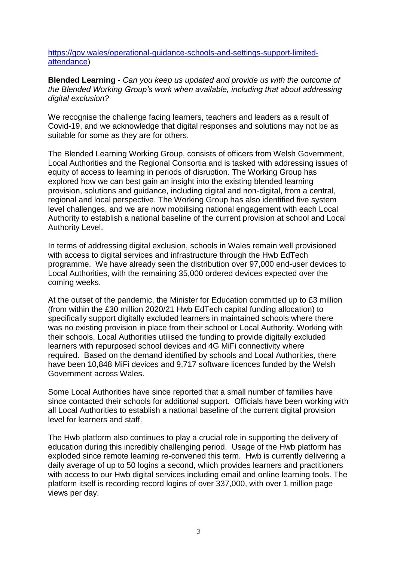[https://gov.wales/operational-guidance-schools-and-settings-support-limited](https://eur01.safelinks.protection.outlook.com/?url=https%3A%2F%2Fgov.wales%2Foperational-guidance-schools-and-settings-support-limited-attendance&data=04%7C01%7CMartyn.Gunter1%40gov.wales%7C6274505629cf480dae8c08d8c130729d%7Ca2cc36c592804ae78887d06dab89216b%7C0%7C0%7C637471761105503570%7CUnknown%7CTWFpbGZsb3d8eyJWIjoiMC4wLjAwMDAiLCJQIjoiV2luMzIiLCJBTiI6Ik1haWwiLCJXVCI6Mn0%3D%7C1000&sdata=gtK8D%2BSENXj01CzVVAPH8ClfdPOuP2iA%2FKvLBj0tpIk%3D&reserved=0)[attendance\)](https://eur01.safelinks.protection.outlook.com/?url=https%3A%2F%2Fgov.wales%2Foperational-guidance-schools-and-settings-support-limited-attendance&data=04%7C01%7CMartyn.Gunter1%40gov.wales%7C6274505629cf480dae8c08d8c130729d%7Ca2cc36c592804ae78887d06dab89216b%7C0%7C0%7C637471761105503570%7CUnknown%7CTWFpbGZsb3d8eyJWIjoiMC4wLjAwMDAiLCJQIjoiV2luMzIiLCJBTiI6Ik1haWwiLCJXVCI6Mn0%3D%7C1000&sdata=gtK8D%2BSENXj01CzVVAPH8ClfdPOuP2iA%2FKvLBj0tpIk%3D&reserved=0)

**Blended Learning -** *Can you keep us updated and provide us with the outcome of the Blended Working Group's work when available, including that about addressing digital exclusion?*

We recognise the challenge facing learners, teachers and leaders as a result of Covid-19, and we acknowledge that digital responses and solutions may not be as suitable for some as they are for others.

The Blended Learning Working Group, consists of officers from Welsh Government, Local Authorities and the Regional Consortia and is tasked with addressing issues of equity of access to learning in periods of disruption. The Working Group has explored how we can best gain an insight into the existing blended learning provision, solutions and guidance, including digital and non-digital, from a central, regional and local perspective. The Working Group has also identified five system level challenges, and we are now mobilising national engagement with each Local Authority to establish a national baseline of the current provision at school and Local Authority Level.

In terms of addressing digital exclusion, schools in Wales remain well provisioned with access to digital services and infrastructure through the Hwb EdTech programme. We have already seen the distribution over 97,000 end-user devices to Local Authorities, with the remaining 35,000 ordered devices expected over the coming weeks.

At the outset of the pandemic, the Minister for Education committed up to £3 million (from within the £30 million 2020/21 Hwb EdTech capital funding allocation) to specifically support digitally excluded learners in maintained schools where there was no existing provision in place from their school or Local Authority. Working with their schools, Local Authorities utilised the funding to provide digitally excluded learners with repurposed school devices and 4G MiFi connectivity where required. Based on the demand identified by schools and Local Authorities, there have been 10,848 MiFi devices and 9,717 software licences funded by the Welsh Government across Wales.

Some Local Authorities have since reported that a small number of families have since contacted their schools for additional support. Officials have been working with all Local Authorities to establish a national baseline of the current digital provision level for learners and staff.

The Hwb platform also continues to play a crucial role in supporting the delivery of education during this incredibly challenging period. Usage of the Hwb platform has exploded since remote learning re-convened this term. Hwb is currently delivering a daily average of up to 50 logins a second, which provides learners and practitioners with access to our Hwb digital services including email and online learning tools. The platform itself is recording record logins of over 337,000, with over 1 million page views per day.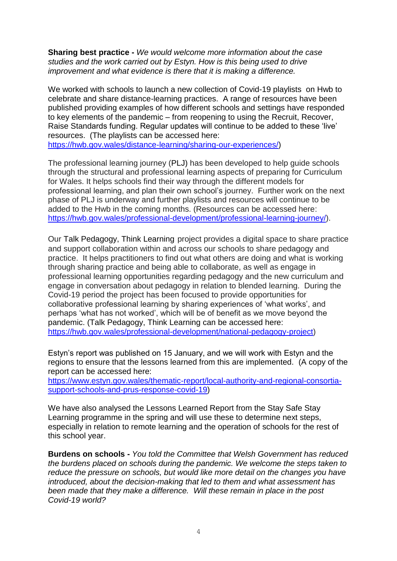**Sharing best practice -** *We would welcome more information about the case studies and the work carried out by Estyn. How is this being used to drive improvement and what evidence is there that it is making a difference.*

We worked with schools to launch a new collection of Covid-19 playlists on Hwb to celebrate and share distance-learning practices. A range of resources have been published providing examples of how different schools and settings have responded to key elements of the pandemic – from reopening to using the Recruit, Recover, Raise Standards funding. Regular updates will continue to be added to these 'live' resources. (The playlists can be accessed here: [https://hwb.gov.wales/distance-learning/sharing-our-experiences/\)](https://hwb.gov.wales/distance-learning/sharing-our-experiences/)

The professional learning journey (PLJ) has been developed to help guide schools through the structural and professional learning aspects of preparing for Curriculum for Wales. It helps schools find their way through the different models for professional learning, and plan their own school's journey. Further work on the next phase of PLJ is underway and further playlists and resources will continue to be added to the Hwb in the coming months. (Resources can be accessed here: [https://hwb.gov.wales/professional-development/professional-learning-journey/\)](https://eur01.safelinks.protection.outlook.com/?url=https%3A%2F%2Fhwb.gov.wales%2Fprofessional-development%2Fprofessional-learning-journey%2F&data=04%7C01%7CKara.Richards%40gov.wales%7C3367c78caf5445238b6c08d8b7e60a41%7Ca2cc36c592804ae78887d06dab89216b%7C0%7C0%7C637461545922265975%7CUnknown%7CTWFpbGZsb3d8eyJWIjoiMC4wLjAwMDAiLCJQIjoiV2luMzIiLCJBTiI6Ik1haWwiLCJXVCI6Mn0%3D%7C1000&sdata=46G8RSjUz7a0cak3%2BEbK4wnTNKO8l9Bt9E1eVbUMMUw%3D&reserved=0).

Our Talk Pedagogy, Think Learning project provides a digital space to share practice and support collaboration within and across our schools to share pedagogy and practice. It helps practitioners to find out what others are doing and what is working through sharing practice and being able to collaborate, as well as engage in professional learning opportunities regarding pedagogy and the new curriculum and engage in conversation about pedagogy in relation to blended learning. During the Covid-19 period the project has been focused to provide opportunities for collaborative professional learning by sharing experiences of 'what works', and perhaps 'what has not worked', which will be of benefit as we move beyond the pandemic. (Talk Pedagogy, Think Learning can be accessed here: [https://hwb.gov.wales/professional-development/national-pedagogy-project\)](https://hwb.gov.wales/professional-development/national-pedagogy-project)

Estyn's report was published on 15 January, and we will work with Estyn and the regions to ensure that the lessons learned from this are implemented. (A copy of the report can be accessed here:

[https://www.estyn.gov.wales/thematic-report/local-authority-and-regional-consortia](https://eur01.safelinks.protection.outlook.com/?url=https%3A%2F%2Fwww.estyn.gov.wales%2Fthematic-report%2Flocal-authority-and-regional-consortia-support-schools-and-prus-response-covid-19&data=04%7C01%7CMartyn.Gunter1%40gov.wales%7C5db7f324925a46d6407908d8c123380e%7Ca2cc36c592804ae78887d06dab89216b%7C0%7C0%7C637471704289211625%7CUnknown%7CTWFpbGZsb3d8eyJWIjoiMC4wLjAwMDAiLCJQIjoiV2luMzIiLCJBTiI6Ik1haWwiLCJXVCI6Mn0%3D%7C1000&sdata=2CHBrH9wtx2BqNdJkJVjQJvjeIcDjaTQk4nZcnu0MPc%3D&reserved=0)[support-schools-and-prus-response-covid-19\)](https://eur01.safelinks.protection.outlook.com/?url=https%3A%2F%2Fwww.estyn.gov.wales%2Fthematic-report%2Flocal-authority-and-regional-consortia-support-schools-and-prus-response-covid-19&data=04%7C01%7CMartyn.Gunter1%40gov.wales%7C5db7f324925a46d6407908d8c123380e%7Ca2cc36c592804ae78887d06dab89216b%7C0%7C0%7C637471704289211625%7CUnknown%7CTWFpbGZsb3d8eyJWIjoiMC4wLjAwMDAiLCJQIjoiV2luMzIiLCJBTiI6Ik1haWwiLCJXVCI6Mn0%3D%7C1000&sdata=2CHBrH9wtx2BqNdJkJVjQJvjeIcDjaTQk4nZcnu0MPc%3D&reserved=0)

We have also analysed the Lessons Learned Report from the Stay Safe Stay Learning programme in the spring and will use these to determine next steps, especially in relation to remote learning and the operation of schools for the rest of this school year.

**Burdens on schools -** *You told the Committee that Welsh Government has reduced the burdens placed on schools during the pandemic. We welcome the steps taken to reduce the pressure on schools, but would like more detail on the changes you have introduced, about the decision-making that led to them and what assessment has been made that they make a difference. Will these remain in place in the post Covid-19 world?*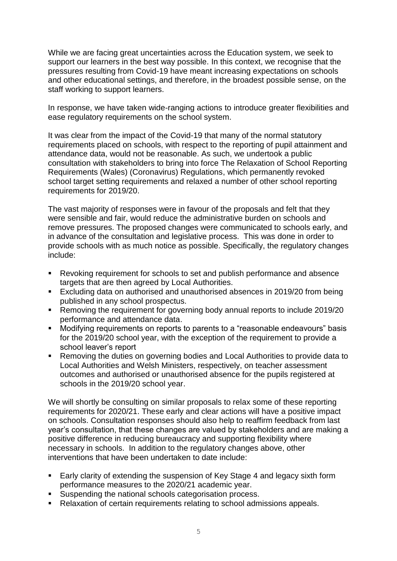While we are facing great uncertainties across the Education system, we seek to support our learners in the best way possible. In this context, we recognise that the pressures resulting from Covid-19 have meant increasing expectations on schools and other educational settings, and therefore, in the broadest possible sense, on the staff working to support learners.

In response, we have taken wide-ranging actions to introduce greater flexibilities and ease regulatory requirements on the school system.

It was clear from the impact of the Covid-19 that many of the normal statutory requirements placed on schools, with respect to the reporting of pupil attainment and attendance data, would not be reasonable. As such, we undertook a public consultation with stakeholders to bring into force The Relaxation of School Reporting Requirements (Wales) (Coronavirus) Regulations, which permanently revoked school target setting requirements and relaxed a number of other school reporting requirements for 2019/20.

The vast majority of responses were in favour of the proposals and felt that they were sensible and fair, would reduce the administrative burden on schools and remove pressures. The proposed changes were communicated to schools early, and in advance of the consultation and legislative process. This was done in order to provide schools with as much notice as possible. Specifically, the regulatory changes include:

- Revoking requirement for schools to set and publish performance and absence targets that are then agreed by Local Authorities.
- Excluding data on authorised and unauthorised absences in 2019/20 from being published in any school prospectus.
- Removing the requirement for governing body annual reports to include 2019/20 performance and attendance data.
- Modifying requirements on reports to parents to a "reasonable endeavours" basis for the 2019/20 school year, with the exception of the requirement to provide a school leaver's report
- Removing the duties on governing bodies and Local Authorities to provide data to Local Authorities and Welsh Ministers, respectively, on teacher assessment outcomes and authorised or unauthorised absence for the pupils registered at schools in the 2019/20 school year.

We will shortly be consulting on similar proposals to relax some of these reporting requirements for 2020/21. These early and clear actions will have a positive impact on schools. Consultation responses should also help to reaffirm feedback from last year's consultation, that these changes are valued by stakeholders and are making a positive difference in reducing bureaucracy and supporting flexibility where necessary in schools. In addition to the regulatory changes above, other interventions that have been undertaken to date include:

- **Early clarity of extending the suspension of Key Stage 4 and legacy sixth form** performance measures to the 2020/21 academic year.
- **Suspending the national schools categorisation process.**
- Relaxation of certain requirements relating to school admissions appeals.